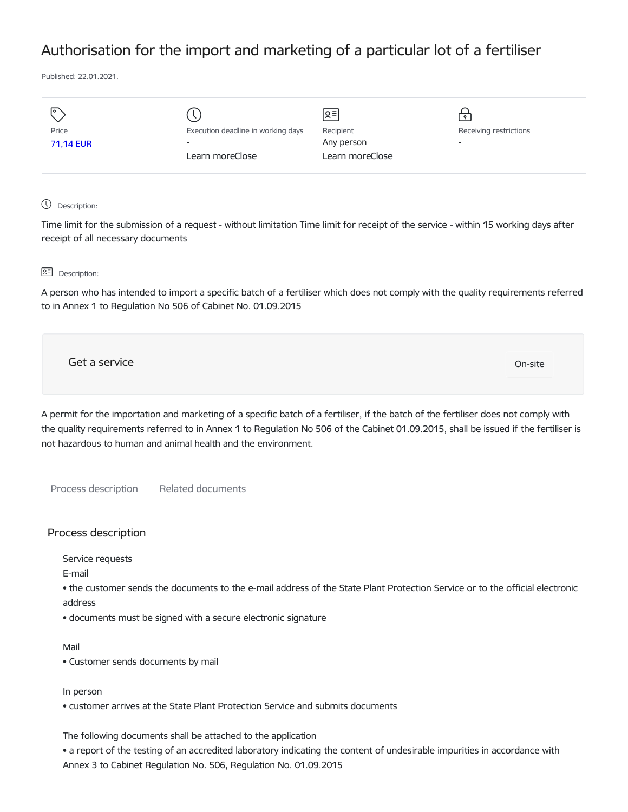# Authorisation for the import and marketing of a particular lot of a fertiliser

Published: 22.01.2021.

|           |                                    | $\leq$          |                          |
|-----------|------------------------------------|-----------------|--------------------------|
| Price     | Execution deadline in working days | Recipient       | Receiving restrictions   |
| 71,14 EUR | $\overline{\phantom{a}}$           | Any person      | $\overline{\phantom{0}}$ |
|           | Learn moreClose                    | Learn moreClose |                          |
|           |                                    |                 |                          |

## Description:

Time limit for the submission of a request - without limitation Time limit for receipt of the service - within 15 working days after receipt of all necessary documents

### **Q<sup></sup> Description:**

A person who has intended to import a specific batch of a fertiliser which does not comply with the quality requirements referred to in Annex 1 to Regulation No 506 of Cabinet No. 01.09.2015

Get a service On-site

A permit for the importation and marketing of a specific batch of a fertiliser, if the batch of the fertiliser does not comply with the quality requirements referred to in Annex 1 to Regulation No 506 of the Cabinet 01.09.2015, shall be issued if the fertiliser is not hazardous to human and animal health and the environment.

Process description Related documents

# Process description

Service requests

E-mail

• the customer sends the documents to the e-mail address of the State Plant Protection Service or to the official electronic address

• documents must be signed with a secure electronic signature

#### Mail

• Customer sends documents by mail

### In person

• customer arrives at the State Plant Protection Service and submits documents

The following documents shall be attached to the application

• a report of the testing of an accredited laboratory indicating the content of undesirable impurities in accordance with Annex 3 to Cabinet Regulation No. 506, Regulation No. 01.09.2015